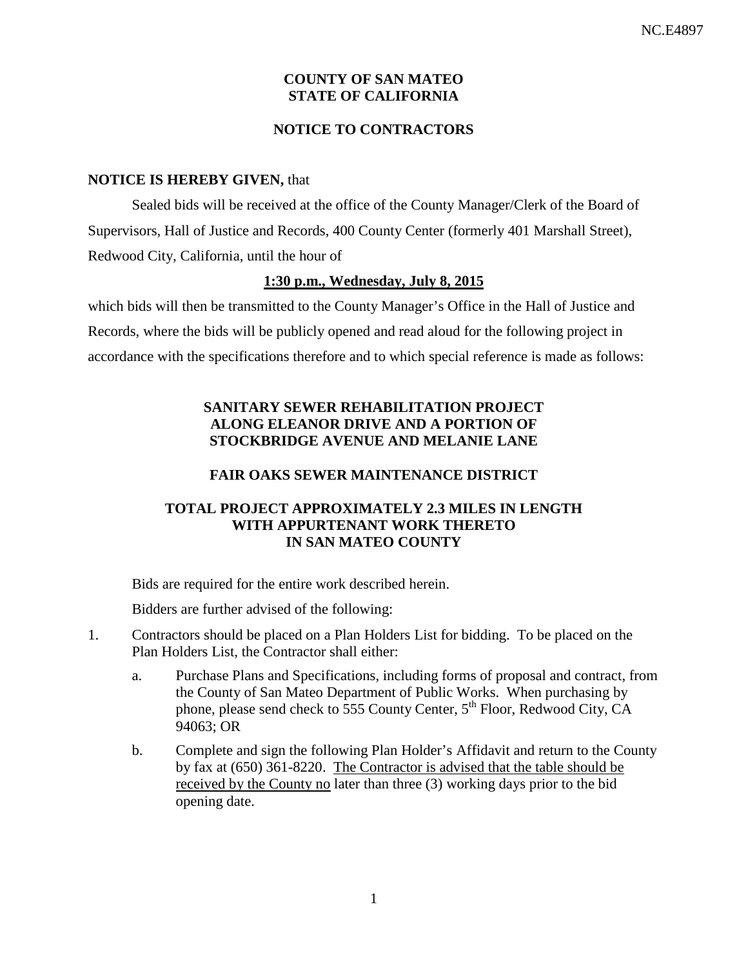# **COUNTY OF SAN MATEO STATE OF CALIFORNIA**

# **NOTICE TO CONTRACTORS**

#### **NOTICE IS HEREBY GIVEN,** that

Sealed bids will be received at the office of the County Manager/Clerk of the Board of Supervisors, Hall of Justice and Records, 400 County Center (formerly 401 Marshall Street), Redwood City, California, until the hour of

# **1:30 p.m., Wednesday, July 8, 2015**

which bids will then be transmitted to the County Manager's Office in the Hall of Justice and Records, where the bids will be publicly opened and read aloud for the following project in accordance with the specifications therefore and to which special reference is made as follows:

# **SANITARY SEWER REHABILITATION PROJECT ALONG ELEANOR DRIVE AND A PORTION OF STOCKBRIDGE AVENUE AND MELANIE LANE**

# **FAIR OAKS SEWER MAINTENANCE DISTRICT**

#### **TOTAL PROJECT APPROXIMATELY 2.3 MILES IN LENGTH WITH APPURTENANT WORK THERETO IN SAN MATEO COUNTY**

Bids are required for the entire work described herein.

Bidders are further advised of the following:

- 1. Contractors should be placed on a Plan Holders List for bidding. To be placed on the Plan Holders List, the Contractor shall either:
	- a. Purchase Plans and Specifications, including forms of proposal and contract, from the County of San Mateo Department of Public Works. When purchasing by phone, please send check to 555 County Center,  $5<sup>th</sup>$  Floor, Redwood City, CA 94063; OR
	- b. Complete and sign the following Plan Holder's Affidavit and return to the County by fax at (650) 361-8220. The Contractor is advised that the table should be received by the County no later than three (3) working days prior to the bid opening date.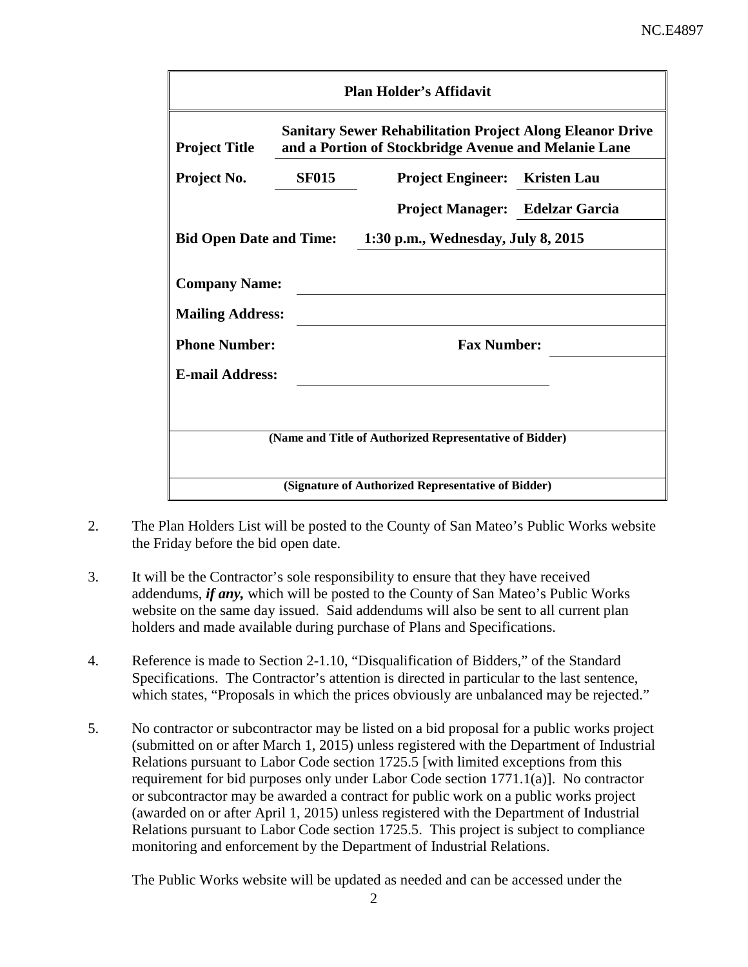| <b>Plan Holder's Affidavit</b>                                                                                                                   |              |                                        |  |  |  |  |  |
|--------------------------------------------------------------------------------------------------------------------------------------------------|--------------|----------------------------------------|--|--|--|--|--|
| <b>Sanitary Sewer Rehabilitation Project Along Eleanor Drive</b><br>and a Portion of Stockbridge Avenue and Melanie Lane<br><b>Project Title</b> |              |                                        |  |  |  |  |  |
| Project No.                                                                                                                                      | <b>SF015</b> | <b>Project Engineer:</b> Kristen Lau   |  |  |  |  |  |
|                                                                                                                                                  |              | <b>Project Manager:</b> Edelzar Garcia |  |  |  |  |  |
| <b>Bid Open Date and Time:</b><br>1:30 p.m., Wednesday, July 8, 2015                                                                             |              |                                        |  |  |  |  |  |
| <b>Company Name:</b><br><b>Mailing Address:</b>                                                                                                  |              |                                        |  |  |  |  |  |
| <b>Phone Number:</b>                                                                                                                             |              | <b>Fax Number:</b>                     |  |  |  |  |  |
| <b>E-mail Address:</b>                                                                                                                           |              |                                        |  |  |  |  |  |
|                                                                                                                                                  |              |                                        |  |  |  |  |  |
| (Name and Title of Authorized Representative of Bidder)                                                                                          |              |                                        |  |  |  |  |  |
| (Signature of Authorized Representative of Bidder)                                                                                               |              |                                        |  |  |  |  |  |

- 2. The Plan Holders List will be posted to the County of San Mateo's Public Works website the Friday before the bid open date.
- 3. It will be the Contractor's sole responsibility to ensure that they have received addendums, *if any,* which will be posted to the County of San Mateo's Public Works website on the same day issued. Said addendums will also be sent to all current plan holders and made available during purchase of Plans and Specifications.
- 4. Reference is made to Section 2-1.10, "Disqualification of Bidders," of the Standard Specifications. The Contractor's attention is directed in particular to the last sentence, which states, "Proposals in which the prices obviously are unbalanced may be rejected."
- 5. No contractor or subcontractor may be listed on a bid proposal for a public works project (submitted on or after March 1, 2015) unless registered with the Department of Industrial Relations pursuant to Labor Code section 1725.5 [with limited exceptions from this requirement for bid purposes only under Labor Code section 1771.1(a)]. No contractor or subcontractor may be awarded a contract for public work on a public works project (awarded on or after April 1, 2015) unless registered with the Department of Industrial Relations pursuant to Labor Code section 1725.5. This project is subject to compliance monitoring and enforcement by the Department of Industrial Relations.

The Public Works website will be updated as needed and can be accessed under the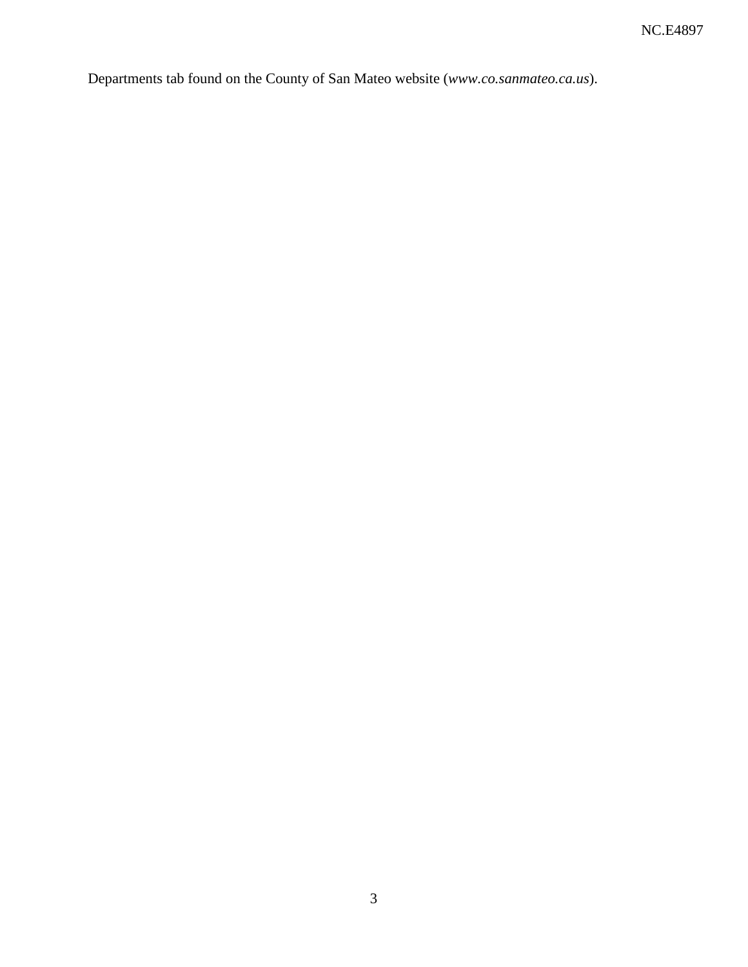Departments tab found on the County of San Mateo website (*www.co.sanmateo.ca.us*).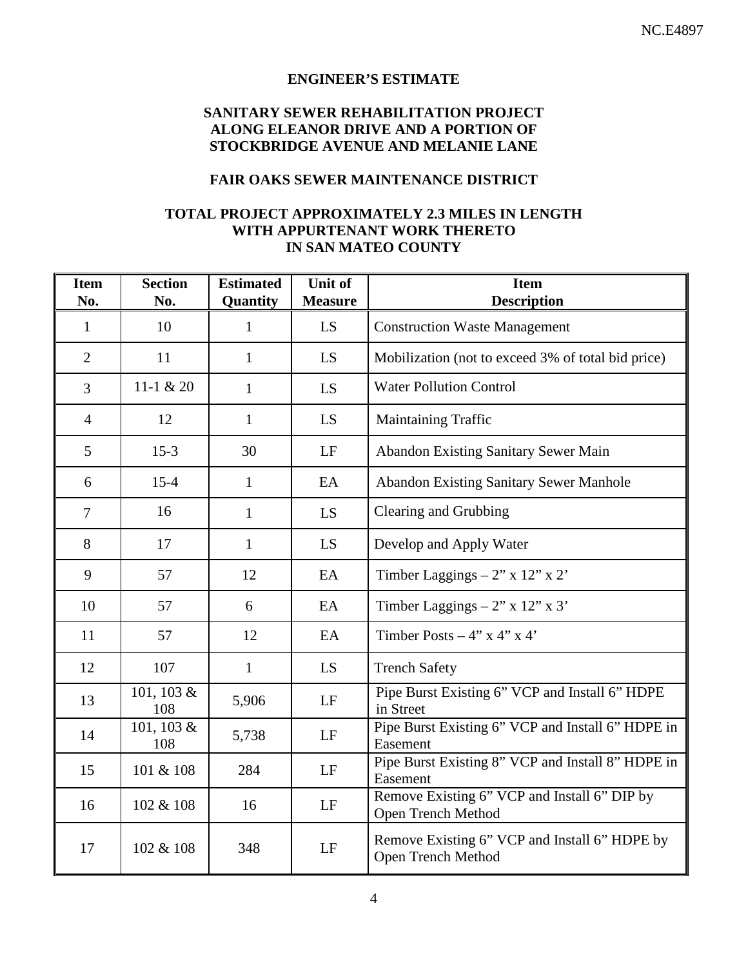#### **ENGINEER'S ESTIMATE**

# **SANITARY SEWER REHABILITATION PROJECT ALONG ELEANOR DRIVE AND A PORTION OF STOCKBRIDGE AVENUE AND MELANIE LANE**

# **FAIR OAKS SEWER MAINTENANCE DISTRICT**

#### **TOTAL PROJECT APPROXIMATELY 2.3 MILES IN LENGTH WITH APPURTENANT WORK THERETO IN SAN MATEO COUNTY**

| <b>Item</b><br>No. | <b>Section</b><br>No. | <b>Estimated</b><br>Quantity | <b>Unit of</b><br><b>Measure</b> | <b>Item</b><br><b>Description</b>                                   |
|--------------------|-----------------------|------------------------------|----------------------------------|---------------------------------------------------------------------|
| $\mathbf{1}$       | 10                    | $\mathbf{1}$                 | LS                               | <b>Construction Waste Management</b>                                |
| $\overline{2}$     | 11                    | $\mathbf{1}$                 | LS                               | Mobilization (not to exceed 3% of total bid price)                  |
| $\overline{3}$     | 11-1 $& 20$           | $\mathbf{1}$                 | LS                               | <b>Water Pollution Control</b>                                      |
| $\overline{4}$     | 12                    | $\mathbf{1}$                 | LS                               | <b>Maintaining Traffic</b>                                          |
| 5                  | $15-3$                | 30                           | LF                               | <b>Abandon Existing Sanitary Sewer Main</b>                         |
| 6                  | $15 - 4$              | $\mathbf{1}$                 | EA                               | <b>Abandon Existing Sanitary Sewer Manhole</b>                      |
| 7                  | 16                    | $\mathbf{1}$                 | LS                               | Clearing and Grubbing                                               |
| 8                  | 17                    | $\mathbf{1}$                 | LS                               | Develop and Apply Water                                             |
| 9                  | 57                    | 12                           | EA                               | Timber Laggings $-2$ " x 12" x 2'                                   |
| 10                 | 57                    | 6                            | EA                               | Timber Laggings $-2$ " x 12" x 3'                                   |
| 11                 | 57                    | 12                           | EA                               | Timber Posts $-4$ " x 4" x 4"                                       |
| 12                 | 107                   | $\mathbf{1}$                 | LS                               | <b>Trench Safety</b>                                                |
| 13                 | 101, 103 &<br>108     | 5,906                        | LF                               | Pipe Burst Existing 6" VCP and Install 6" HDPE<br>in Street         |
| 14                 | 101, 103 &<br>108     | 5,738                        | LF                               | Pipe Burst Existing 6" VCP and Install 6" HDPE in<br>Easement       |
| 15                 | 101 & 108             | 284                          | LF                               | Pipe Burst Existing 8" VCP and Install 8" HDPE in<br>Easement       |
| 16                 | 102 & 108             | 16                           | LF                               | Remove Existing 6" VCP and Install 6" DIP by<br>Open Trench Method  |
| 17                 | 102 & 108             | 348                          | LF                               | Remove Existing 6" VCP and Install 6" HDPE by<br>Open Trench Method |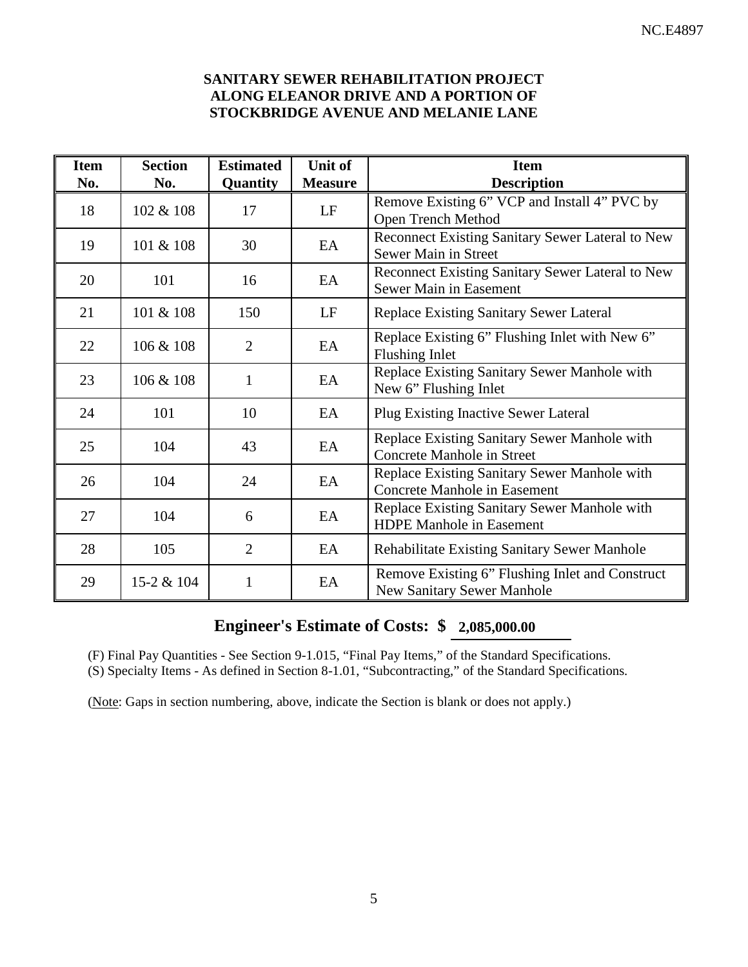## **SANITARY SEWER REHABILITATION PROJECT ALONG ELEANOR DRIVE AND A PORTION OF STOCKBRIDGE AVENUE AND MELANIE LANE**

| <b>Item</b><br>No. | <b>Section</b><br>No. | <b>Estimated</b><br>Quantity | Unit of<br><b>Measure</b> | <b>Item</b><br><b>Description</b>                                                    |
|--------------------|-----------------------|------------------------------|---------------------------|--------------------------------------------------------------------------------------|
| 18                 | 102 & 108             | 17                           | LF                        | Remove Existing 6" VCP and Install 4" PVC by<br><b>Open Trench Method</b>            |
| 19                 | 101 & 108             | 30                           | EA                        | Reconnect Existing Sanitary Sewer Lateral to New<br>Sewer Main in Street             |
| 20                 | 101                   | 16                           | EA                        | Reconnect Existing Sanitary Sewer Lateral to New<br>Sewer Main in Easement           |
| 21                 | 101 & 108             | 150                          | LF                        | Replace Existing Sanitary Sewer Lateral                                              |
| 22                 | 106 & 108             | $\overline{2}$               | EA                        | Replace Existing 6" Flushing Inlet with New 6"<br><b>Flushing Inlet</b>              |
| 23                 | 106 & 108             | $\mathbf{1}$                 | EA                        | Replace Existing Sanitary Sewer Manhole with<br>New 6" Flushing Inlet                |
| 24                 | 101                   | 10                           | EA                        | <b>Plug Existing Inactive Sewer Lateral</b>                                          |
| 25                 | 104                   | 43                           | EA                        | Replace Existing Sanitary Sewer Manhole with<br><b>Concrete Manhole in Street</b>    |
| 26                 | 104                   | 24                           | EA                        | Replace Existing Sanitary Sewer Manhole with<br><b>Concrete Manhole in Easement</b>  |
| 27                 | 104                   | 6                            | EA                        | Replace Existing Sanitary Sewer Manhole with<br><b>HDPE Manhole in Easement</b>      |
| 28                 | 105                   | $\overline{2}$               | EA                        | <b>Rehabilitate Existing Sanitary Sewer Manhole</b>                                  |
| 29                 | 15-2 & 104            | 1                            | EA                        | Remove Existing 6" Flushing Inlet and Construct<br><b>New Sanitary Sewer Manhole</b> |

# **Engineer's Estimate of Costs: \$ 2,085,000.00**

(F) Final Pay Quantities - See Section 9-1.015, "Final Pay Items," of the Standard Specifications.

(S) Specialty Items - As defined in Section 8-1.01, "Subcontracting," of the Standard Specifications.

(Note: Gaps in section numbering, above, indicate the Section is blank or does not apply.)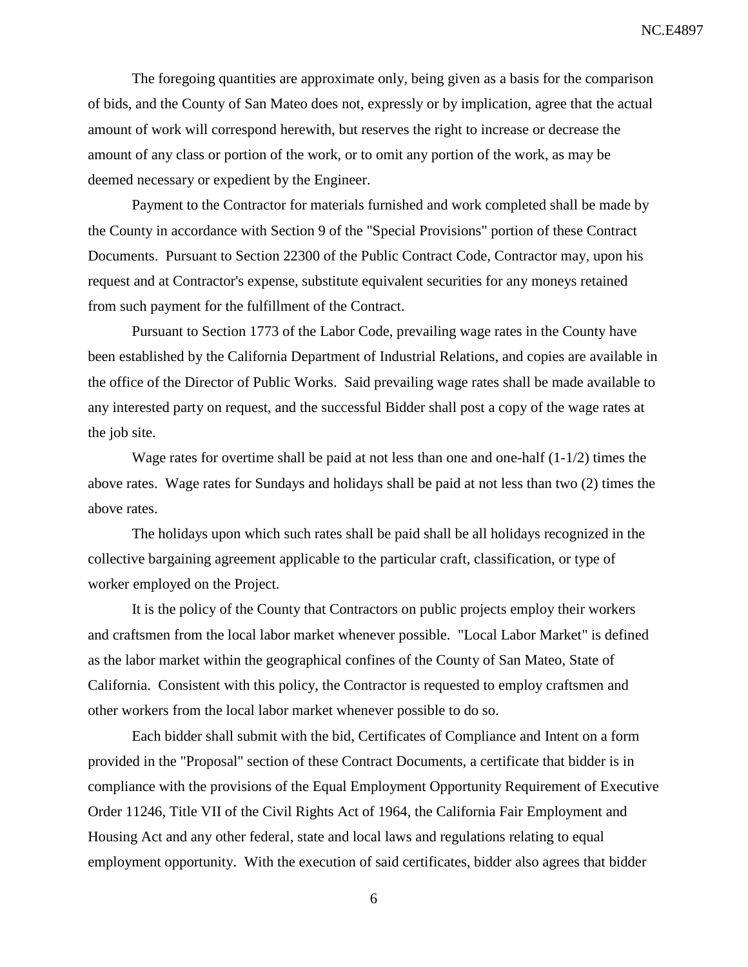The foregoing quantities are approximate only, being given as a basis for the comparison of bids, and the County of San Mateo does not, expressly or by implication, agree that the actual amount of work will correspond herewith, but reserves the right to increase or decrease the amount of any class or portion of the work, or to omit any portion of the work, as may be deemed necessary or expedient by the Engineer.

Payment to the Contractor for materials furnished and work completed shall be made by the County in accordance with Section 9 of the "Special Provisions" portion of these Contract Documents. Pursuant to Section 22300 of the Public Contract Code, Contractor may, upon his request and at Contractor's expense, substitute equivalent securities for any moneys retained from such payment for the fulfillment of the Contract.

Pursuant to Section 1773 of the Labor Code, prevailing wage rates in the County have been established by the California Department of Industrial Relations, and copies are available in the office of the Director of Public Works. Said prevailing wage rates shall be made available to any interested party on request, and the successful Bidder shall post a copy of the wage rates at the job site.

Wage rates for overtime shall be paid at not less than one and one-half (1-1/2) times the above rates. Wage rates for Sundays and holidays shall be paid at not less than two (2) times the above rates.

The holidays upon which such rates shall be paid shall be all holidays recognized in the collective bargaining agreement applicable to the particular craft, classification, or type of worker employed on the Project.

It is the policy of the County that Contractors on public projects employ their workers and craftsmen from the local labor market whenever possible. "Local Labor Market" is defined as the labor market within the geographical confines of the County of San Mateo, State of California. Consistent with this policy, the Contractor is requested to employ craftsmen and other workers from the local labor market whenever possible to do so.

Each bidder shall submit with the bid, Certificates of Compliance and Intent on a form provided in the "Proposal" section of these Contract Documents, a certificate that bidder is in compliance with the provisions of the Equal Employment Opportunity Requirement of Executive Order 11246, Title VII of the Civil Rights Act of 1964, the California Fair Employment and Housing Act and any other federal, state and local laws and regulations relating to equal employment opportunity. With the execution of said certificates, bidder also agrees that bidder

6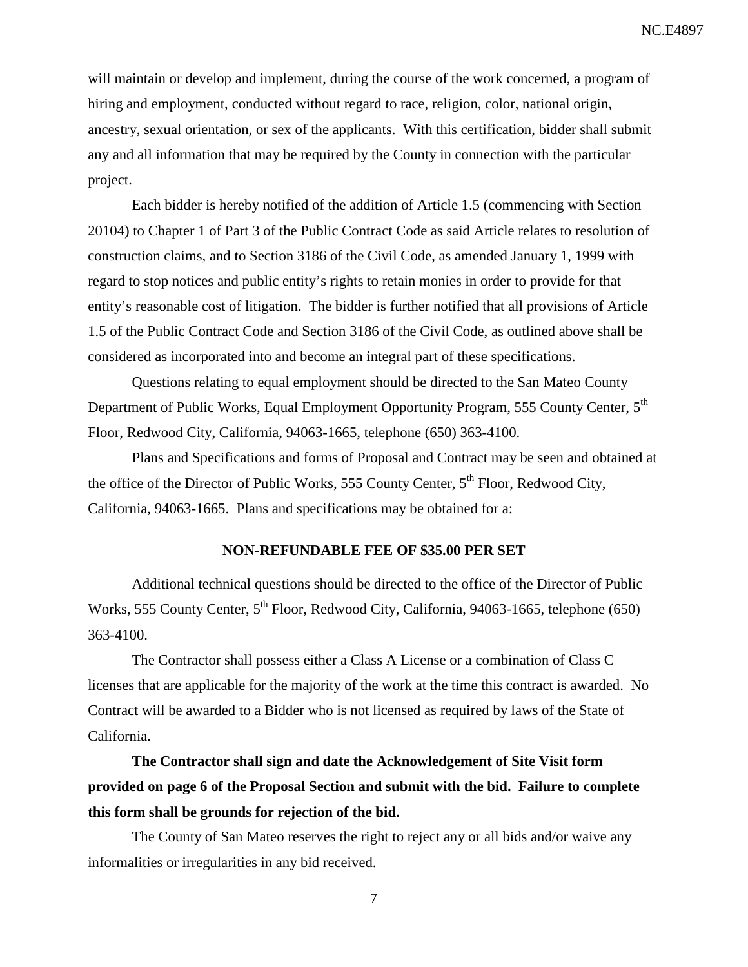will maintain or develop and implement, during the course of the work concerned, a program of hiring and employment, conducted without regard to race, religion, color, national origin, ancestry, sexual orientation, or sex of the applicants. With this certification, bidder shall submit any and all information that may be required by the County in connection with the particular project.

Each bidder is hereby notified of the addition of Article 1.5 (commencing with Section 20104) to Chapter 1 of Part 3 of the Public Contract Code as said Article relates to resolution of construction claims, and to Section 3186 of the Civil Code, as amended January 1, 1999 with regard to stop notices and public entity's rights to retain monies in order to provide for that entity's reasonable cost of litigation. The bidder is further notified that all provisions of Article 1.5 of the Public Contract Code and Section 3186 of the Civil Code, as outlined above shall be considered as incorporated into and become an integral part of these specifications.

Questions relating to equal employment should be directed to the San Mateo County Department of Public Works, Equal Employment Opportunity Program, 555 County Center, 5<sup>th</sup> Floor, Redwood City, California, 94063-1665, telephone (650) 363-4100.

Plans and Specifications and forms of Proposal and Contract may be seen and obtained at the office of the Director of Public Works, 555 County Center,  $5<sup>th</sup>$  Floor, Redwood City, California, 94063-1665. Plans and specifications may be obtained for a:

#### **NON-REFUNDABLE FEE OF \$35.00 PER SET**

Additional technical questions should be directed to the office of the Director of Public Works, 555 County Center, 5<sup>th</sup> Floor, Redwood City, California, 94063-1665, telephone (650) 363-4100.

The Contractor shall possess either a Class A License or a combination of Class C licenses that are applicable for the majority of the work at the time this contract is awarded. No Contract will be awarded to a Bidder who is not licensed as required by laws of the State of California.

**The Contractor shall sign and date the Acknowledgement of Site Visit form provided on page 6 of the Proposal Section and submit with the bid. Failure to complete this form shall be grounds for rejection of the bid.**

The County of San Mateo reserves the right to reject any or all bids and/or waive any informalities or irregularities in any bid received.